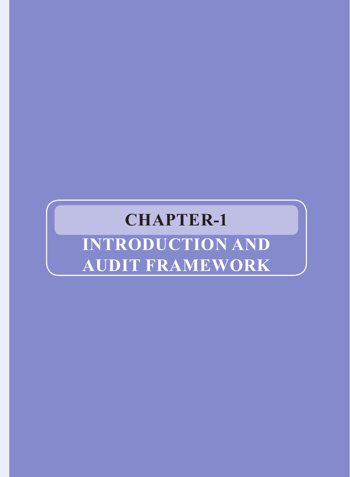## **CHAPTER-1**

# **INTRODUCTION and audit framework**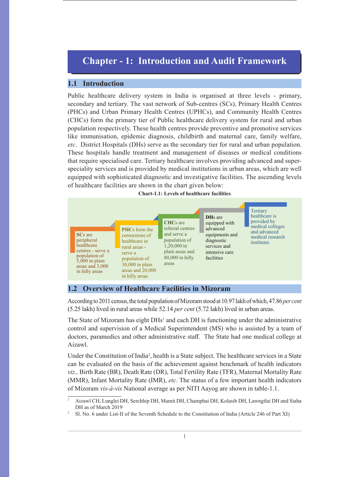### **Chapter - 1: Introduction and Audit Framework**

#### **1.1 Introduction**

Public healthcare delivery system in India is organised at three levels - primary, secondary and tertiary. The vast network of Sub-centres (SCs), Primary Health Centres (PHCs) and Urban Primary Health Centres (UPHCs), and Community Health Centres (CHCs) form the primary tier of Public healthcare delivery system for rural and urban population respectively. These health centres provide preventive and promotive services like immunisation, epidemic diagnosis, childbirth and maternal care, family welfare, *etc*. District Hospitals (DHs) serve as the secondary tier for rural and urban population. These hospitals handle treatment and management of diseases or medical conditions that require specialised care. Tertiary healthcare involves providing advanced and superspeciality services and is provided by medical institutions in urban areas, which are well equipped with sophisticated diagnostic and investigative facilities. The ascending levels of healthcare facilities are shown in the chart given below:



#### **1.2 Overview of Healthcare Facilities in Mizoram**

According to 2011 census, the total population of Mizoram stood at 10.97 lakh of which, 47.86*per cent* (5.25 lakh) lived in rural areas while 52.14 *per cent* (5.72 lakh) lived in urban areas.

The State of Mizoram has eight  $D Hs<sup>1</sup>$  and each  $DH$  is functioning under the administrative control and supervision of a Medical Superintendent (MS) who is assisted by a team of doctors, paramedics and other administrative staff. The State had one medical college at Aizawl.

Under the Constitution of India<sup>2</sup>, health is a State subject. The healthcare services in a State can be evaluated on the basis of the achievement against benchmark of health indicators *viz.,* Birth Rate (BR), Death Rate (DR), Total Fertility Rate (TFR), Maternal Mortality Rate (MMR), Infant Mortality Rate (IMR), *etc*. The status of a few important health indicators of Mizoram *vis-à-vis* National average as per NITI Aayog are shown in table-1.1.

<sup>1</sup> Aizawl CH, Lunglei DH, Serchhip DH, Mamit DH, Champhai DH, Kolasib DH, Lawngtlai DH and Siaha DH as of March 2019

<sup>2</sup> Sl. No. 6 under List-II of the Seventh Schedule to the Constitution of India (Article 246 of Part XI)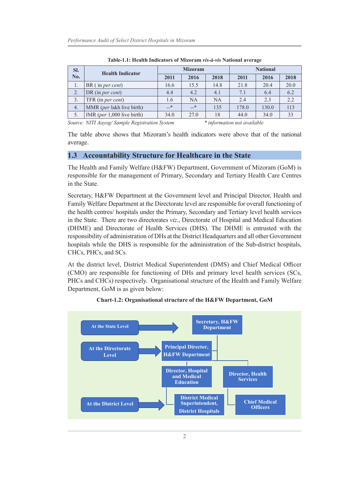| SI.<br>No. | <b>Health Indicator</b>              | <b>Mizoram</b> |           |           | <b>National</b> |       |      |
|------------|--------------------------------------|----------------|-----------|-----------|-----------------|-------|------|
|            |                                      | 2011           | 2016      | 2018      | 2011            | 2016  | 2018 |
|            | $BR$ (in <i>per cent</i> )           | 16.6           | 15.5      | 14.8      | 21.8            | 20.4  | 20.0 |
| 2.         | DR (in <i>per cent</i> )             | 4.4            | 4.2       | 4.1       | 7.1             | 6.4   | 6.2  |
| 3.         | TFR (in per cent)                    | 1.6            | <b>NA</b> | <b>NA</b> | 2.4             | 2.3   | 2.2  |
| 4.         | MMR (per lakh live birth)            | $-$ *          | $-$ *     | 135       | 178.0           | 130.0 | 113  |
|            | IMR ( <i>per</i> $1,000$ live birth) | 34.0           | 27.0      | 18        | 44.0            | 34.0  | 33   |

**Table-1.1: Health Indicators of Mizoram** *vis-à-vis* **National average**

*Source: NITI Aayog/ Sample Registration System \* information not available*

The table above shows that Mizoram's health indicators were above that of the national average.

#### **1.3 Accountability Structure for Healthcare in the State**

The Health and Family Welfare (H&FW) Department, Government of Mizoram (GoM) is responsible for the management of Primary, Secondary and Tertiary Health Care Centres in the State.

Secretary, H&FW Department at the Government level and Principal Director, Health and Family Welfare Department at the Directorate level are responsible for overall functioning of the health centres/ hospitals under the Primary, Secondary and Tertiary level health services in the State. There are two directorates *viz*., Directorate of Hospital and Medical Education (DHME) and Directorate of Health Services (DHS). The DHME is entrusted with the responsibility of administration of DHs at the District Headquarters and all other Government hospitals while the DHS is responsible for the administration of the Sub-district hospitals, CHCs, PHCs, and SCs.

At the district level, District Medical Superintendent (DMS) and Chief Medical Officer (CMO) are responsible for functioning of DHs and primary level health services (SCs, PHCs and CHCs) respectively. Organisational structure of the Health and Family Welfare Department, GoM is as given below:



#### **Chart-1.2: Organisational structure of the H&FW Department, GoM**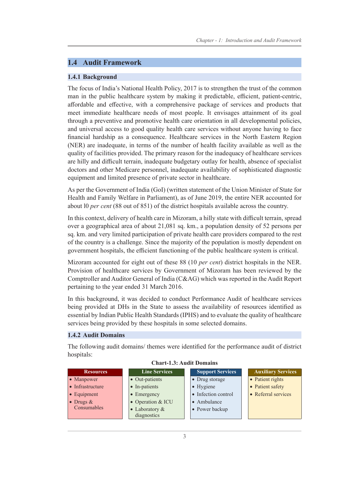#### **1.4 Audit Framework**

#### **1.4.1 Background**

The focus of India's National Health Policy, 2017 is to strengthen the trust of the common man in the public healthcare system by making it predictable, efficient, patient-centric, affordable and effective, with a comprehensive package of services and products that meet immediate healthcare needs of most people. It envisages attainment of its goal through a preventive and promotive health care orientation in all developmental policies, and universal access to good quality health care services without anyone having to face financial hardship as a consequence. Healthcare services in the North Eastern Region (NER) are inadequate, in terms of the number of health facility available as well as the quality of facilities provided. The primary reason for the inadequacy of healthcare services are hilly and difficult terrain, inadequate budgetary outlay for health, absence of specialist doctors and other Medicare personnel, inadequate availability of sophisticated diagnostic equipment and limited presence of private sector in healthcare.

As per the Government of India (GoI) (written statement of the Union Minister of State for Health and Family Welfare in Parliament), as of June 2019, the entire NER accounted for about l0 *per cent* (88 out of 851) of the district hospitals available across the country.

In this context, delivery of health care in Mizoram, a hilly state with difficult terrain, spread over a geographical area of about 21,081 sq. km., a population density of 52 persons per sq. km. and very limited participation of private health care providers compared to the rest of the country is a challenge. Since the majority of the population is mostly dependent on government hospitals, the efficient functioning of the public healthcare system is critical.

Mizoram accounted for eight out of these 88 (10 *per cent*) district hospitals in the NER. Provision of healthcare services by Government of Mizoram has been reviewed by the Comptroller and Auditor General of India (C&AG) which was reported in the Audit Report pertaining to the year ended 31 March 2016.

In this background, it was decided to conduct Performance Audit of healthcare services being provided at DHs in the State to assess the availability of resources identified as essential by Indian Public Health Standards (IPHS) and to evaluate the quality of healthcare services being provided by these hospitals in some selected domains.

#### **1.4.2 Audit Domains**

The following audit domains/ themes were identified for the performance audit of district hospitals:

| <b>Resources</b>    | <b>Line Services</b>                  |                     | <b>Support Services</b> | <b>Auxiliary Services</b> |
|---------------------|---------------------------------------|---------------------|-------------------------|---------------------------|
| • Manpower          | • Out-patients                        | • Drug storage      |                         | • Patient rights          |
| • Infrastructure    | • In-patients                         | • Hygiene           |                         | • Patient safety          |
| $\bullet$ Equipment | • Emergency                           | • Infection control |                         | • Referral services       |
| • Drugs $&$         | • Operation & ICU                     | • Ambulance         |                         |                           |
| Consumables         | $\bullet$ Laboratory &<br>diagnostics | • Power backup      |                         |                           |

#### **Chart-1.3: Audit Domains**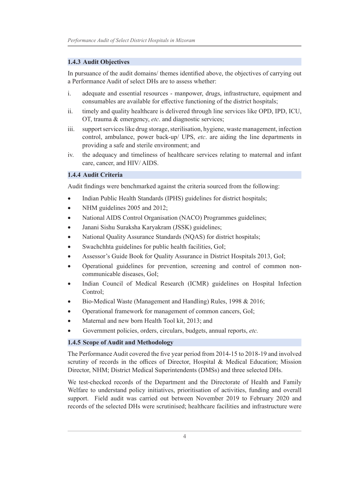#### **1.4.3 Audit Objectives**

In pursuance of the audit domains/ themes identified above, the objectives of carrying out a Performance Audit of select DHs are to assess whether:

- i. adequate and essential resources manpower, drugs, infrastructure, equipment and consumables are available for effective functioning of the district hospitals;
- ii. timely and quality healthcare is delivered through line services like OPD, IPD, ICU, OT, trauma & emergency, *etc*. and diagnostic services;
- iii. support services like drug storage, sterilisation, hygiene, waste management, infection control, ambulance, power back-up/ UPS, *etc*. are aiding the line departments in providing a safe and sterile environment; and
- iv. the adequacy and timeliness of healthcare services relating to maternal and infant care, cancer, and HIV/ AIDS.

#### **1.4.4 Audit Criteria**

Audit findings were benchmarked against the criteria sourced from the following:

- Indian Public Health Standards (IPHS) guidelines for district hospitals;
- NHM guidelines 2005 and 2012;
- National AIDS Control Organisation (NACO) Programmes guidelines;
- Janani Sishu Suraksha Karyakram (JSSK) guidelines;
- National Quality Assurance Standards (NQAS) for district hospitals;
- Swachchhta guidelines for public health facilities, GoI;
- Assessor's Guide Book for Quality Assurance in District Hospitals 2013, GoI;
- Operational guidelines for prevention, screening and control of common noncommunicable diseases, GoI;
- Indian Council of Medical Research (ICMR) guidelines on Hospital Infection Control;
- Bio-Medical Waste (Management and Handling) Rules, 1998 & 2016;
- Operational framework for management of common cancers, GoI;
- Maternal and new born Health Tool kit, 2013; and
- Government policies, orders, circulars, budgets, annual reports, *etc.*

#### **1.4.5 Scope of Audit and Methodology**

The Performance Audit covered the five year period from 2014-15 to 2018-19 and involved scrutiny of records in the offices of Director, Hospital & Medical Education; Mission Director, NHM; District Medical Superintendents (DMSs) and three selected DHs.

We test-checked records of the Department and the Directorate of Health and Family Welfare to understand policy initiatives, prioritisation of activities, funding and overall support. Field audit was carried out between November 2019 to February 2020 and records of the selected DHs were scrutinised; healthcare facilities and infrastructure were